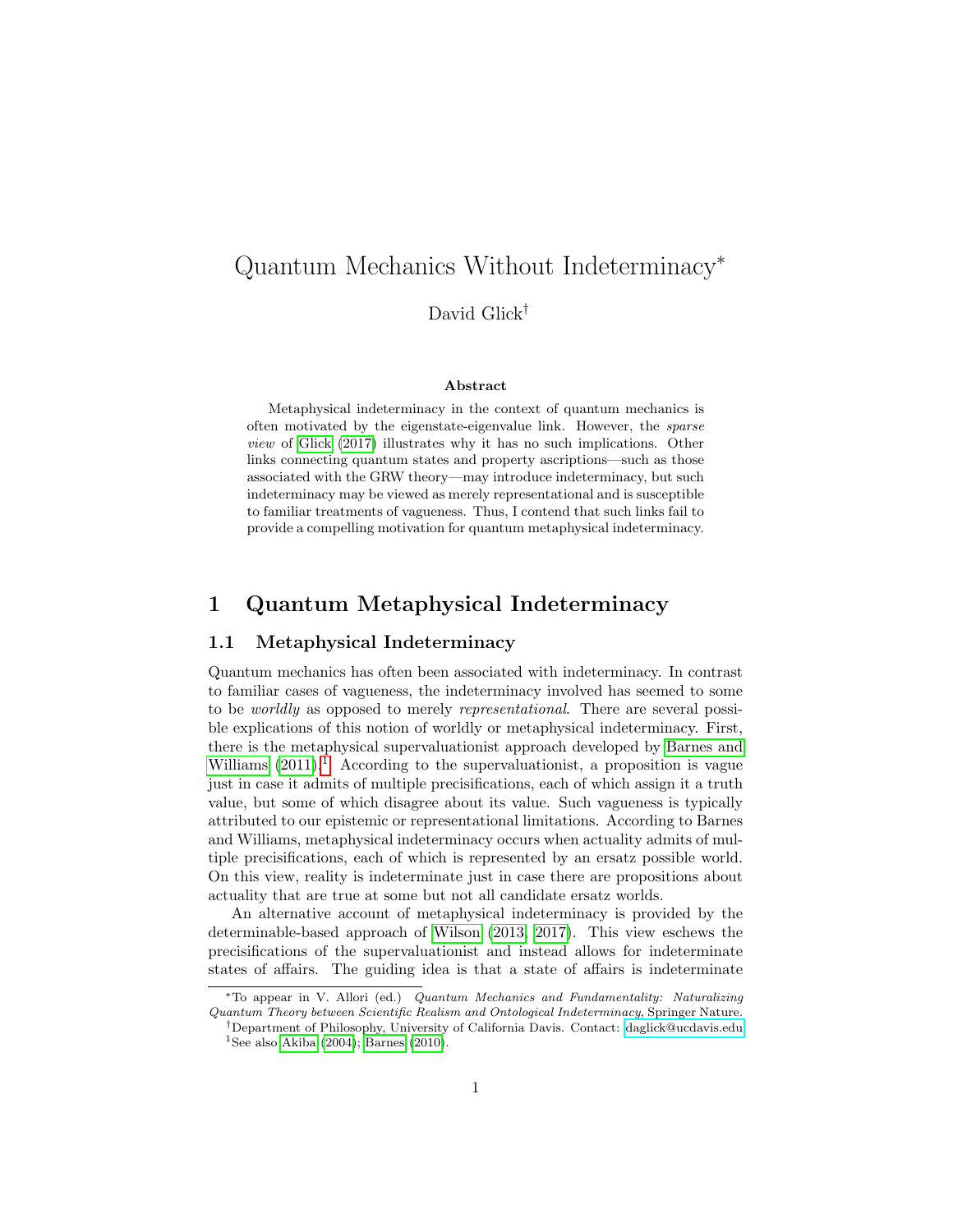# Quantum Mechanics Without Indeterminacy<sup>∗</sup>

David Glick†

#### Abstract

Metaphysical indeterminacy in the context of quantum mechanics is often motivated by the eigenstate-eigenvalue link. However, the sparse view of [Glick](#page-16-0) [\(2017\)](#page-16-0) illustrates why it has no such implications. Other links connecting quantum states and property ascriptions—such as those associated with the GRW theory—may introduce indeterminacy, but such indeterminacy may be viewed as merely representational and is susceptible to familiar treatments of vagueness. Thus, I contend that such links fail to provide a compelling motivation for quantum metaphysical indeterminacy.

## 1 Quantum Metaphysical Indeterminacy

### 1.1 Metaphysical Indeterminacy

Quantum mechanics has often been associated with indeterminacy. In contrast to familiar cases of vagueness, the indeterminacy involved has seemed to some to be worldly as opposed to merely representational. There are several possible explications of this notion of worldly or metaphysical indeterminacy. First, there is the metaphysical supervaluationist approach developed by [Barnes and](#page-15-0) [Williams](#page-15-0)  $(2011).<sup>1</sup>$  $(2011).<sup>1</sup>$  $(2011).<sup>1</sup>$  $(2011).<sup>1</sup>$  According to the supervaluationist, a proposition is vague just in case it admits of multiple precisifications, each of which assign it a truth value, but some of which disagree about its value. Such vagueness is typically attributed to our epistemic or representational limitations. According to Barnes and Williams, metaphysical indeterminacy occurs when actuality admits of multiple precisifications, each of which is represented by an ersatz possible world. On this view, reality is indeterminate just in case there are propositions about actuality that are true at some but not all candidate ersatz worlds.

An alternative account of metaphysical indeterminacy is provided by the determinable-based approach of [Wilson](#page-16-1) [\(2013,](#page-16-1) [2017\)](#page-16-2). This view eschews the precisifications of the supervaluationist and instead allows for indeterminate states of affairs. The guiding idea is that a state of affairs is indeterminate

<sup>∗</sup>To appear in V. Allori (ed.) Quantum Mechanics and Fundamentality: Naturalizing Quantum Theory between Scientific Realism and Ontological Indeterminacy, Springer Nature.

<span id="page-0-0"></span><sup>†</sup>Department of Philosophy, University of California Davis. Contact: [daglick@ucdavis.edu](mailto:daglick@ucdavis.edu) <sup>1</sup>See also [Akiba](#page-15-1) [\(2004\)](#page-15-1); [Barnes](#page-15-2) [\(2010\)](#page-15-2).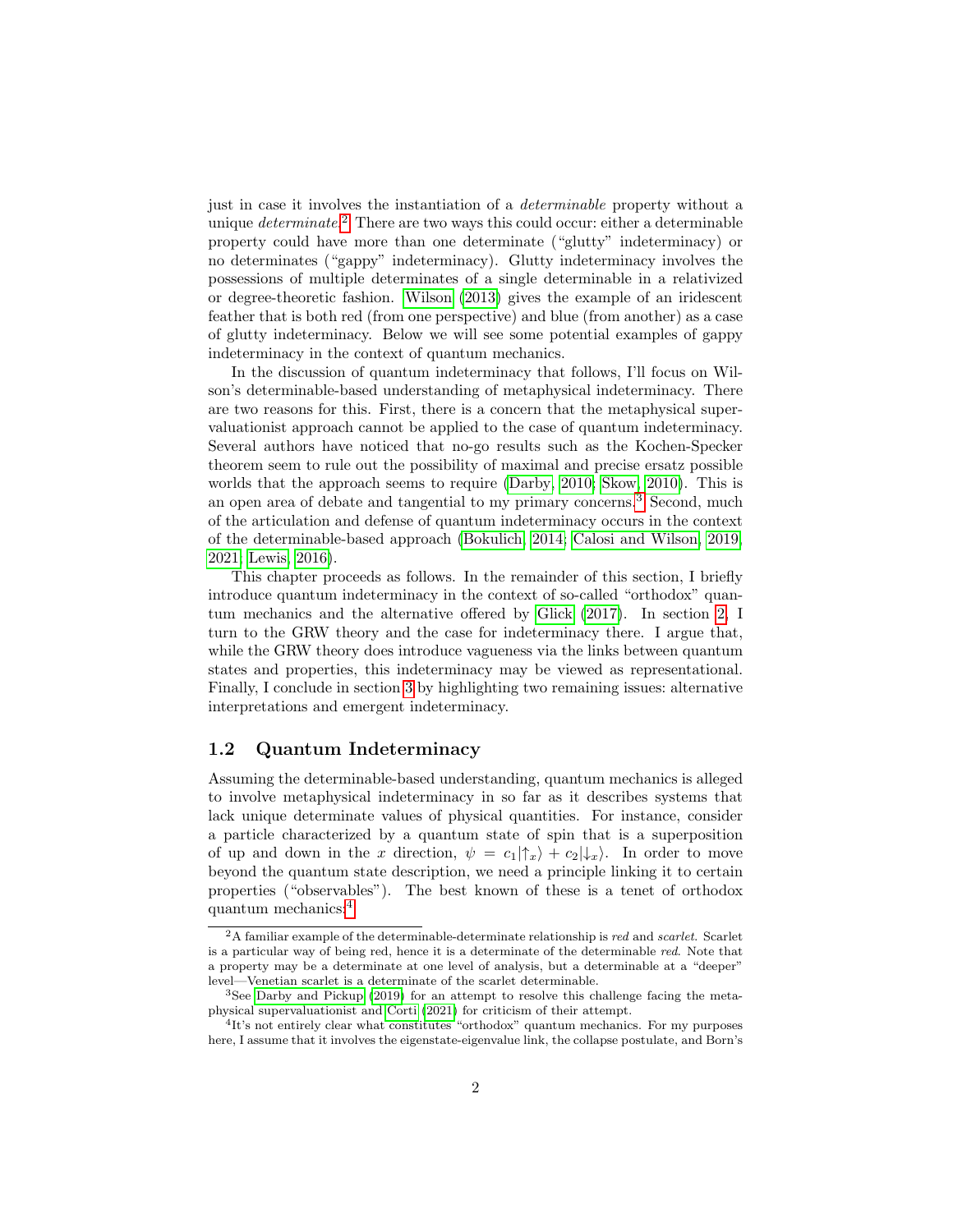just in case it involves the instantiation of a determinable property without a unique *determinate*.<sup>[2](#page-1-0)</sup> There are two ways this could occur: either a determinable property could have more than one determinate ("glutty" indeterminacy) or no determinates ("gappy" indeterminacy). Glutty indeterminacy involves the possessions of multiple determinates of a single determinable in a relativized or degree-theoretic fashion. [Wilson](#page-16-1) [\(2013\)](#page-16-1) gives the example of an iridescent feather that is both red (from one perspective) and blue (from another) as a case of glutty indeterminacy. Below we will see some potential examples of gappy indeterminacy in the context of quantum mechanics.

In the discussion of quantum indeterminacy that follows, I'll focus on Wilson's determinable-based understanding of metaphysical indeterminacy. There are two reasons for this. First, there is a concern that the metaphysical supervaluationist approach cannot be applied to the case of quantum indeterminacy. Several authors have noticed that no-go results such as the Kochen-Specker theorem seem to rule out the possibility of maximal and precise ersatz possible worlds that the approach seems to require [\(Darby, 2010;](#page-15-3) [Skow, 2010\)](#page-16-3). This is an open area of debate and tangential to my primary concerns.[3](#page-1-1) Second, much of the articulation and defense of quantum indeterminacy occurs in the context of the determinable-based approach [\(Bokulich, 2014;](#page-15-4) [Calosi and Wilson, 2019,](#page-15-5) [2021;](#page-15-6) [Lewis, 2016\)](#page-16-4).

This chapter proceeds as follows. In the remainder of this section, I briefly introduce quantum indeterminacy in the context of so-called "orthodox" quantum mechanics and the alternative offered by [Glick](#page-16-0) [\(2017\)](#page-16-0). In section [2,](#page-7-0) I turn to the GRW theory and the case for indeterminacy there. I argue that, while the GRW theory does introduce vagueness via the links between quantum states and properties, this indeterminacy may be viewed as representational. Finally, I conclude in section [3](#page-12-0) by highlighting two remaining issues: alternative interpretations and emergent indeterminacy.

### 1.2 Quantum Indeterminacy

Assuming the determinable-based understanding, quantum mechanics is alleged to involve metaphysical indeterminacy in so far as it describes systems that lack unique determinate values of physical quantities. For instance, consider a particle characterized by a quantum state of spin that is a superposition of up and down in the x direction,  $\psi = c_1|\uparrow_x\rangle + c_2|\downarrow_x\rangle$ . In order to move beyond the quantum state description, we need a principle linking it to certain properties ("observables"). The best known of these is a tenet of orthodox quantum mechanics:[4](#page-1-2)

<span id="page-1-0"></span> $^{2}$ A familiar example of the determinable-determinate relationship is red and scarlet. Scarlet is a particular way of being red, hence it is a determinate of the determinable red. Note that a property may be a determinate at one level of analysis, but a determinable at a "deeper" level—Venetian scarlet is a determinate of the scarlet determinable.

<span id="page-1-1"></span><sup>&</sup>lt;sup>3</sup>See [Darby and Pickup](#page-15-7) [\(2019\)](#page-15-7) for an attempt to resolve this challenge facing the metaphysical supervaluationist and [Corti](#page-15-8) [\(2021\)](#page-15-8) for criticism of their attempt.

<span id="page-1-2"></span><sup>4</sup> It's not entirely clear what constitutes "orthodox" quantum mechanics. For my purposes here, I assume that it involves the eigenstate-eigenvalue link, the collapse postulate, and Born's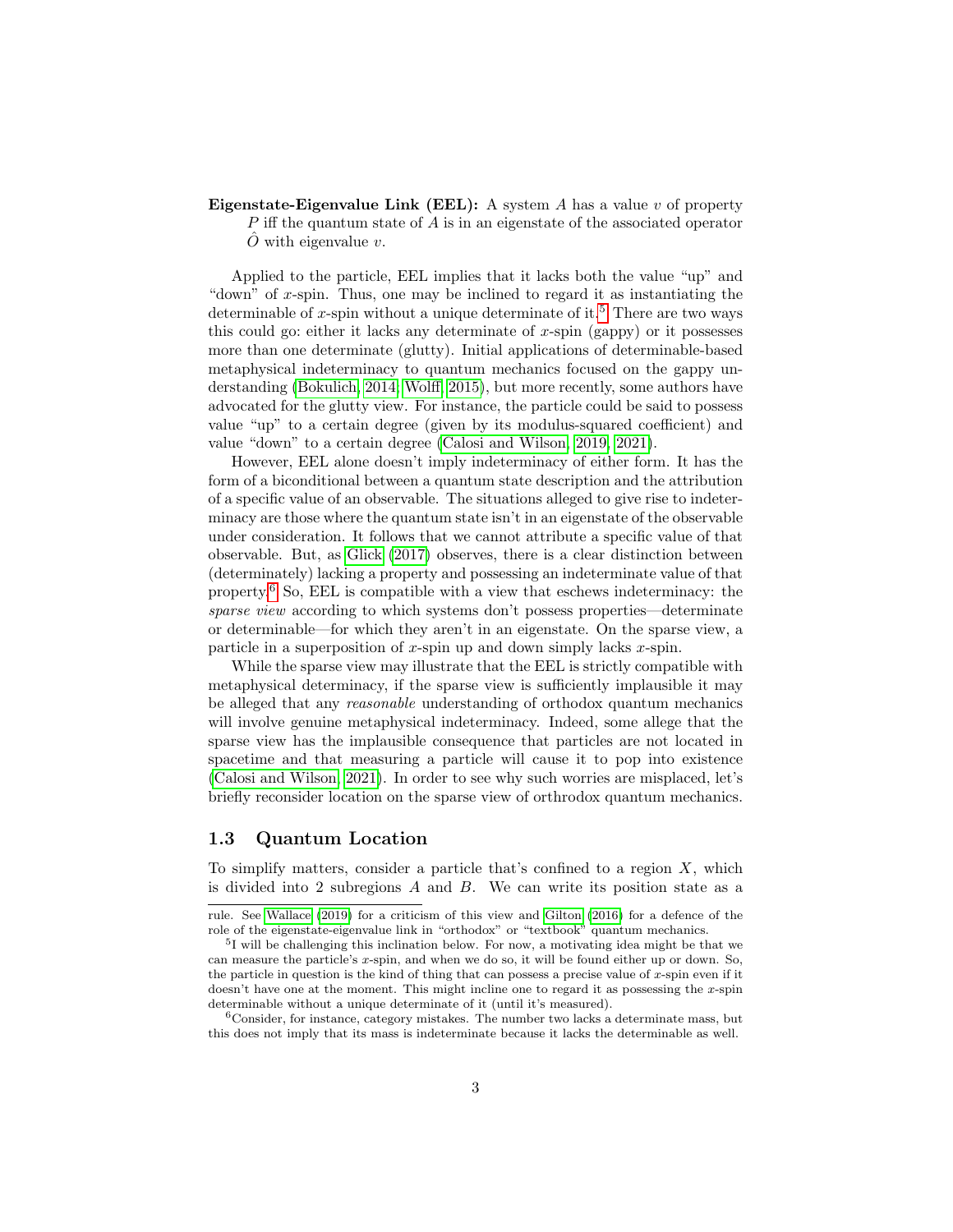### **Eigenstate-Eigenvalue Link (EEL):** A system A has a value v of property P iff the quantum state of A is in an eigenstate of the associated operator O with eigenvalue  $v$ .

Applied to the particle, EEL implies that it lacks both the value "up" and "down" of x-spin. Thus, one may be inclined to regard it as instantiating the determinable of x-spin without a unique determinate of it.<sup>[5](#page-2-0)</sup> There are two ways this could go: either it lacks any determinate of  $x$ -spin (gappy) or it possesses more than one determinate (glutty). Initial applications of determinable-based metaphysical indeterminacy to quantum mechanics focused on the gappy understanding [\(Bokulich, 2014;](#page-15-4) [Wolff, 2015\)](#page-16-5), but more recently, some authors have advocated for the glutty view. For instance, the particle could be said to possess value "up" to a certain degree (given by its modulus-squared coefficient) and value "down" to a certain degree [\(Calosi and Wilson, 2019,](#page-15-5) [2021\)](#page-15-6).

However, EEL alone doesn't imply indeterminacy of either form. It has the form of a biconditional between a quantum state description and the attribution of a specific value of an observable. The situations alleged to give rise to indeterminacy are those where the quantum state isn't in an eigenstate of the observable under consideration. It follows that we cannot attribute a specific value of that observable. But, as [Glick](#page-16-0) [\(2017\)](#page-16-0) observes, there is a clear distinction between (determinately) lacking a property and possessing an indeterminate value of that property.[6](#page-2-1) So, EEL is compatible with a view that eschews indeterminacy: the sparse view according to which systems don't possess properties—determinate or determinable—for which they aren't in an eigenstate. On the sparse view, a particle in a superposition of x-spin up and down simply lacks  $x$ -spin.

While the sparse view may illustrate that the EEL is strictly compatible with metaphysical determinacy, if the sparse view is sufficiently implausible it may be alleged that any reasonable understanding of orthodox quantum mechanics will involve genuine metaphysical indeterminacy. Indeed, some allege that the sparse view has the implausible consequence that particles are not located in spacetime and that measuring a particle will cause it to pop into existence [\(Calosi and Wilson, 2021\)](#page-15-6). In order to see why such worries are misplaced, let's briefly reconsider location on the sparse view of orthrodox quantum mechanics.

### <span id="page-2-2"></span>1.3 Quantum Location

To simplify matters, consider a particle that's confined to a region  $X$ , which is divided into 2 subregions A and B. We can write its position state as a

rule. See [Wallace](#page-16-6) [\(2019\)](#page-16-6) for a criticism of this view and [Gilton](#page-16-7) [\(2016\)](#page-16-7) for a defence of the role of the eigenstate-eigenvalue link in "orthodox" or "textbook" quantum mechanics.

<span id="page-2-0"></span><sup>5</sup> I will be challenging this inclination below. For now, a motivating idea might be that we can measure the particle's  $x$ -spin, and when we do so, it will be found either up or down. So, the particle in question is the kind of thing that can possess a precise value of  $x$ -spin even if it doesn't have one at the moment. This might incline one to regard it as possessing the  $x$ -spin determinable without a unique determinate of it (until it's measured).

<span id="page-2-1"></span> $6\text{Consider, for instance, category mistakes.}$  The number two lacks a determinate mass, but this does not imply that its mass is indeterminate because it lacks the determinable as well.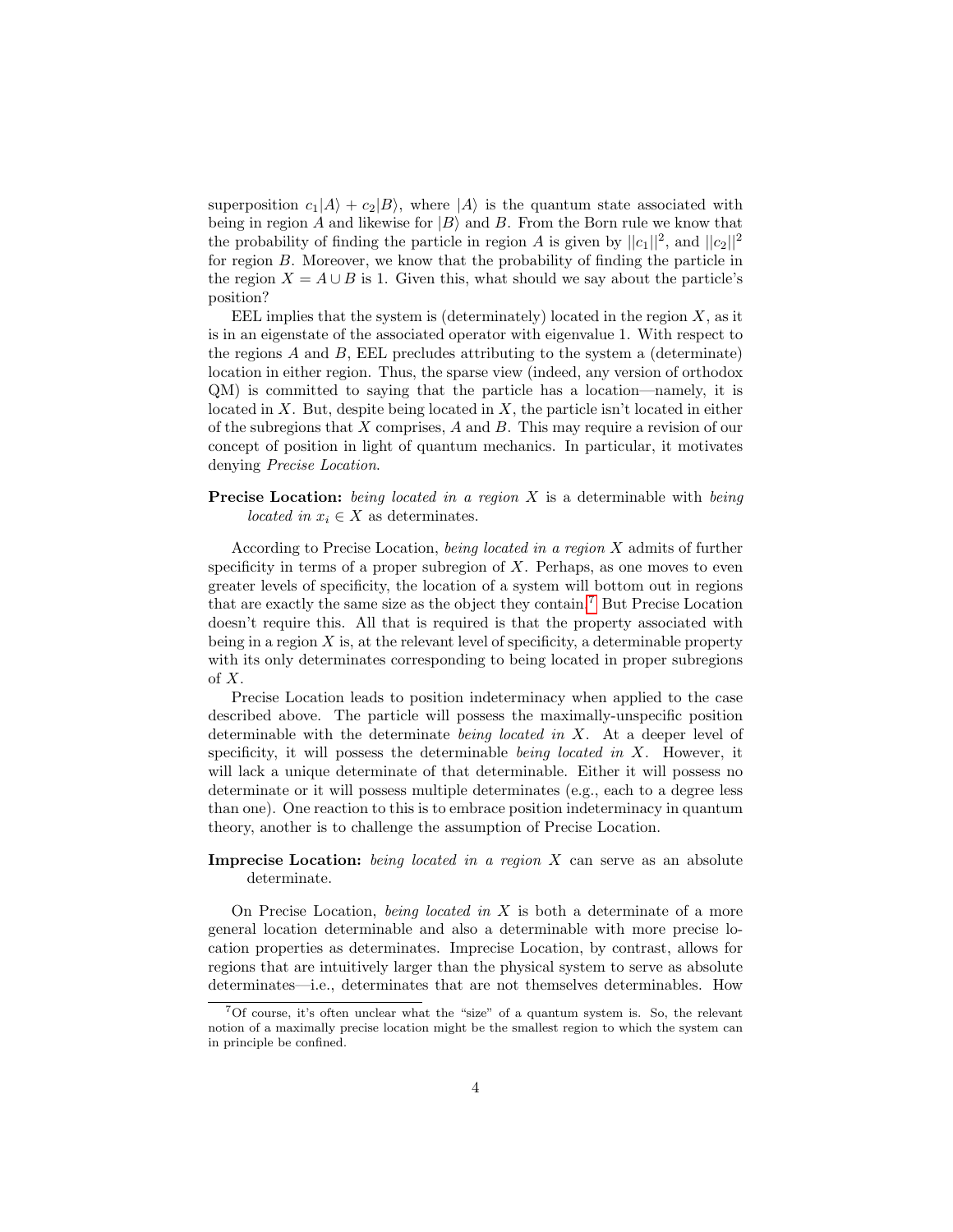superposition  $c_1|A\rangle + c_2|B\rangle$ , where  $|A\rangle$  is the quantum state associated with being in region A and likewise for  $|B\rangle$  and B. From the Born rule we know that the probability of finding the particle in region A is given by  $||c_1||^2$ , and  $||c_2||^2$ for region B. Moreover, we know that the probability of finding the particle in the region  $X = A \cup B$  is 1. Given this, what should we say about the particle's position?

EEL implies that the system is (determinately) located in the region  $X$ , as it is in an eigenstate of the associated operator with eigenvalue 1. With respect to the regions  $A$  and  $B$ , EEL precludes attributing to the system a (determinate) location in either region. Thus, the sparse view (indeed, any version of orthodox QM) is committed to saying that the particle has a location—namely, it is located in  $X$ . But, despite being located in  $X$ , the particle isn't located in either of the subregions that  $X$  comprises,  $A$  and  $B$ . This may require a revision of our concept of position in light of quantum mechanics. In particular, it motivates denying Precise Location.

**Precise Location:** being located in a region  $X$  is a determinable with being located in  $x_i \in X$  as determinates.

According to Precise Location, being located in a region X admits of further specificity in terms of a proper subregion of  $X$ . Perhaps, as one moves to even greater levels of specificity, the location of a system will bottom out in regions that are exactly the same size as the object they contain.[7](#page-3-0) But Precise Location doesn't require this. All that is required is that the property associated with being in a region  $X$  is, at the relevant level of specificity, a determinable property with its only determinates corresponding to being located in proper subregions of  $X$ .

Precise Location leads to position indeterminacy when applied to the case described above. The particle will possess the maximally-unspecific position determinable with the determinate being located in X. At a deeper level of specificity, it will possess the determinable being located in  $X$ . However, it will lack a unique determinate of that determinable. Either it will possess no determinate or it will possess multiple determinates (e.g., each to a degree less than one). One reaction to this is to embrace position indeterminacy in quantum theory, another is to challenge the assumption of Precise Location.

#### **Imprecise Location:** being located in a region  $X$  can serve as an absolute determinate.

On Precise Location, *being located in X* is both a determinate of a more general location determinable and also a determinable with more precise location properties as determinates. Imprecise Location, by contrast, allows for regions that are intuitively larger than the physical system to serve as absolute determinates—i.e., determinates that are not themselves determinables. How

<span id="page-3-0"></span><sup>7</sup>Of course, it's often unclear what the "size" of a quantum system is. So, the relevant notion of a maximally precise location might be the smallest region to which the system can in principle be confined.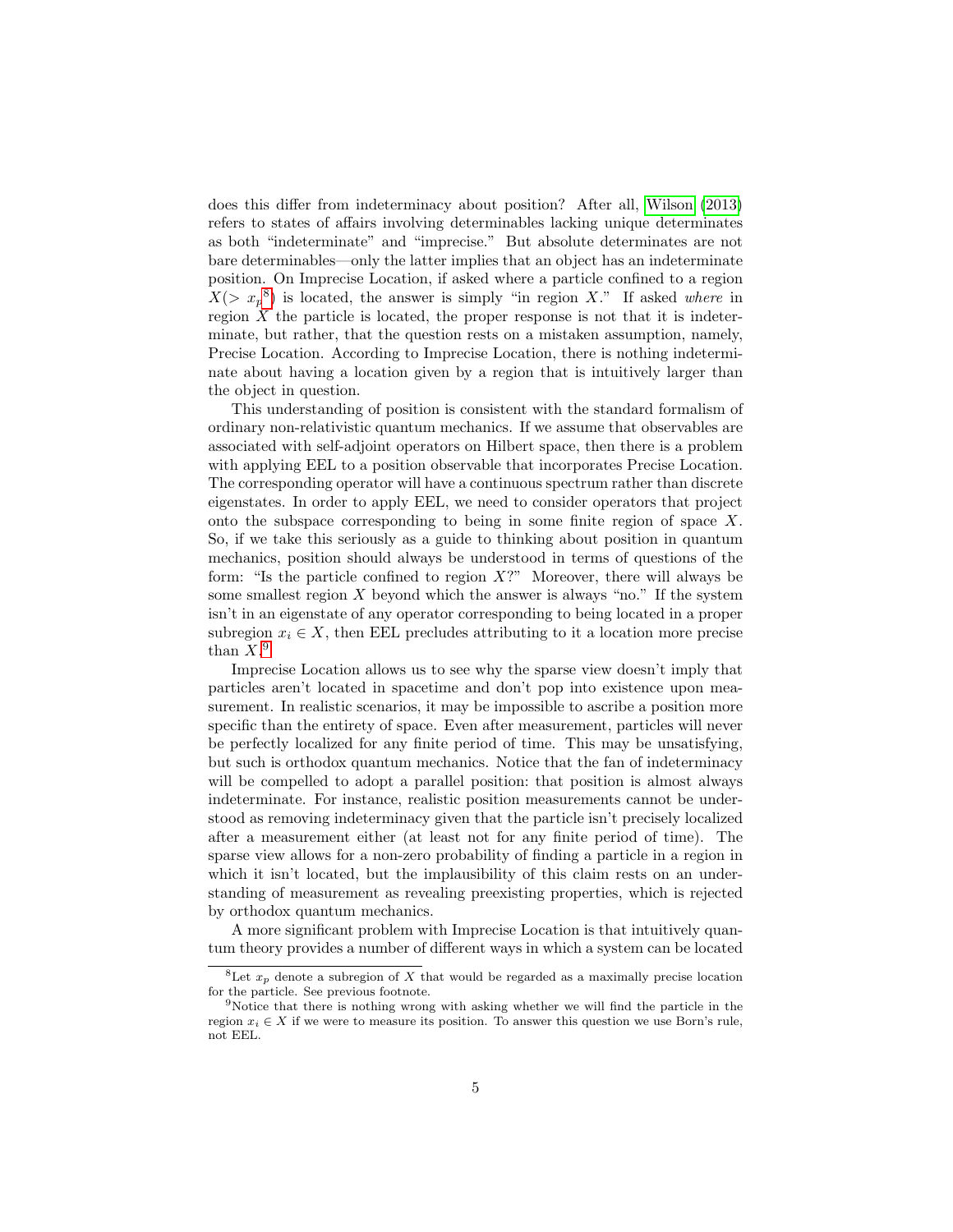does this differ from indeterminacy about position? After all, [Wilson](#page-16-1) [\(2013\)](#page-16-1) refers to states of affairs involving determinables lacking unique determinates as both "indeterminate" and "imprecise." But absolute determinates are not bare determinables—only the latter implies that an object has an indeterminate position. On Imprecise Location, if asked where a particle confined to a region  $X(> x_p^8)$  $X(> x_p^8)$  $X(> x_p^8)$  is located, the answer is simply "in region X." If asked where in region  $X$  the particle is located, the proper response is not that it is indeterminate, but rather, that the question rests on a mistaken assumption, namely, Precise Location. According to Imprecise Location, there is nothing indeterminate about having a location given by a region that is intuitively larger than the object in question.

This understanding of position is consistent with the standard formalism of ordinary non-relativistic quantum mechanics. If we assume that observables are associated with self-adjoint operators on Hilbert space, then there is a problem with applying EEL to a position observable that incorporates Precise Location. The corresponding operator will have a continuous spectrum rather than discrete eigenstates. In order to apply EEL, we need to consider operators that project onto the subspace corresponding to being in some finite region of space X. So, if we take this seriously as a guide to thinking about position in quantum mechanics, position should always be understood in terms of questions of the form: "Is the particle confined to region  $X$ ?" Moreover, there will always be some smallest region X beyond which the answer is always "no." If the system isn't in an eigenstate of any operator corresponding to being located in a proper subregion  $x_i \in X$ , then EEL precludes attributing to it a location more precise than  $X.9$  $X.9$ 

Imprecise Location allows us to see why the sparse view doesn't imply that particles aren't located in spacetime and don't pop into existence upon measurement. In realistic scenarios, it may be impossible to ascribe a position more specific than the entirety of space. Even after measurement, particles will never be perfectly localized for any finite period of time. This may be unsatisfying, but such is orthodox quantum mechanics. Notice that the fan of indeterminacy will be compelled to adopt a parallel position: that position is almost always indeterminate. For instance, realistic position measurements cannot be understood as removing indeterminacy given that the particle isn't precisely localized after a measurement either (at least not for any finite period of time). The sparse view allows for a non-zero probability of finding a particle in a region in which it isn't located, but the implausibility of this claim rests on an understanding of measurement as revealing preexisting properties, which is rejected by orthodox quantum mechanics.

A more significant problem with Imprecise Location is that intuitively quantum theory provides a number of different ways in which a system can be located

<span id="page-4-0"></span><sup>&</sup>lt;sup>8</sup>Let  $x_p$  denote a subregion of X that would be regarded as a maximally precise location for the particle. See previous footnote.

<span id="page-4-1"></span><sup>9</sup>Notice that there is nothing wrong with asking whether we will find the particle in the region  $x_i \in X$  if we were to measure its position. To answer this question we use Born's rule, not EEL.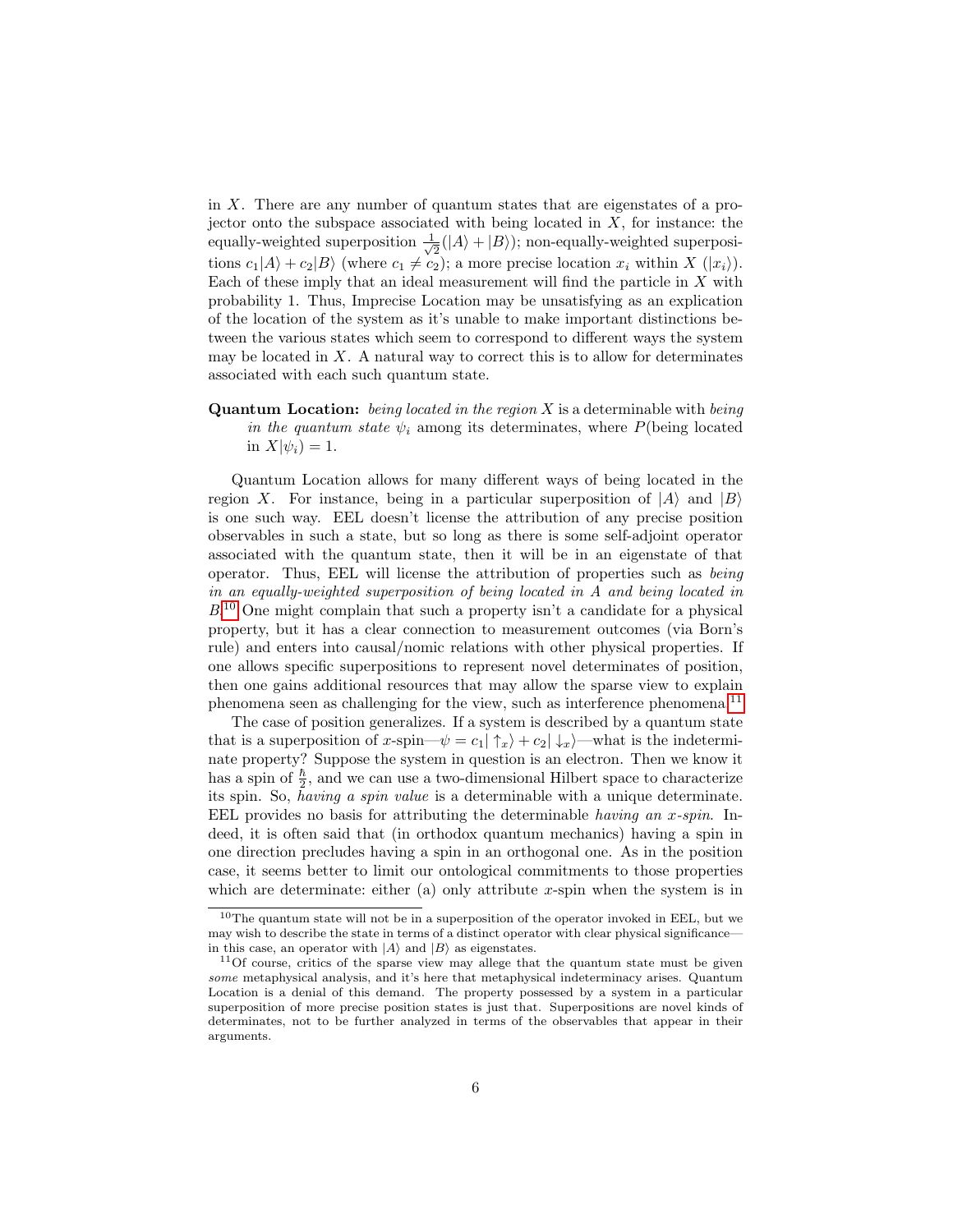in X. There are any number of quantum states that are eigenstates of a projector onto the subspace associated with being located in  $X$ , for instance: the equally-weighted superposition  $\frac{1}{\sqrt{2}}$  $\overline{P}_{\overline{2}}(|A\rangle + |B\rangle)$ ; non-equally-weighted superpositions  $c_1|A\rangle + c_2|B\rangle$  (where  $c_1 \neq c_2$ ); a more precise location  $x_i$  within  $X(|x_i\rangle)$ . Each of these imply that an ideal measurement will find the particle in  $X$  with probability 1. Thus, Imprecise Location may be unsatisfying as an explication of the location of the system as it's unable to make important distinctions between the various states which seem to correspond to different ways the system may be located in  $X$ . A natural way to correct this is to allow for determinates associated with each such quantum state.

**Quantum Location:** being located in the region  $X$  is a determinable with being in the quantum state  $\psi_i$  among its determinates, where P(being located in  $X|\psi_i|=1$ .

Quantum Location allows for many different ways of being located in the region X. For instance, being in a particular superposition of  $|A\rangle$  and  $|B\rangle$ is one such way. EEL doesn't license the attribution of any precise position observables in such a state, but so long as there is some self-adjoint operator associated with the quantum state, then it will be in an eigenstate of that operator. Thus, EEL will license the attribution of properties such as being in an equally-weighted superposition of being located in A and being located in B. [10](#page-5-0) One might complain that such a property isn't a candidate for a physical property, but it has a clear connection to measurement outcomes (via Born's rule) and enters into causal/nomic relations with other physical properties. If one allows specific superpositions to represent novel determinates of position, then one gains additional resources that may allow the sparse view to explain phenomena seen as challenging for the view, such as interference phenomena.<sup>[11](#page-5-1)</sup>

The case of position generalizes. If a system is described by a quantum state that is a superposition of x-spin— $\psi = c_1 | \uparrow_x \rangle + c_2 | \downarrow_x \rangle$ —what is the indeterminate property? Suppose the system in question is an electron. Then we know it has a spin of  $\frac{\hbar}{2}$ , and we can use a two-dimensional Hilbert space to characterize its spin. So, having a spin value is a determinable with a unique determinate. EEL provides no basis for attributing the determinable having an x-spin. Indeed, it is often said that (in orthodox quantum mechanics) having a spin in one direction precludes having a spin in an orthogonal one. As in the position case, it seems better to limit our ontological commitments to those properties which are determinate: either (a) only attribute  $x$ -spin when the system is in

<span id="page-5-0"></span> $^{10}\mathrm{The}$  quantum state will not be in a superposition of the operator invoked in EEL, but we may wish to describe the state in terms of a distinct operator with clear physical significance in this case, an operator with  $|A\rangle$  and  $|B\rangle$  as eigenstates.

<span id="page-5-1"></span><sup>&</sup>lt;sup>11</sup>Of course, critics of the sparse view may allege that the quantum state must be given some metaphysical analysis, and it's here that metaphysical indeterminacy arises. Quantum Location is a denial of this demand. The property possessed by a system in a particular superposition of more precise position states is just that. Superpositions are novel kinds of determinates, not to be further analyzed in terms of the observables that appear in their arguments.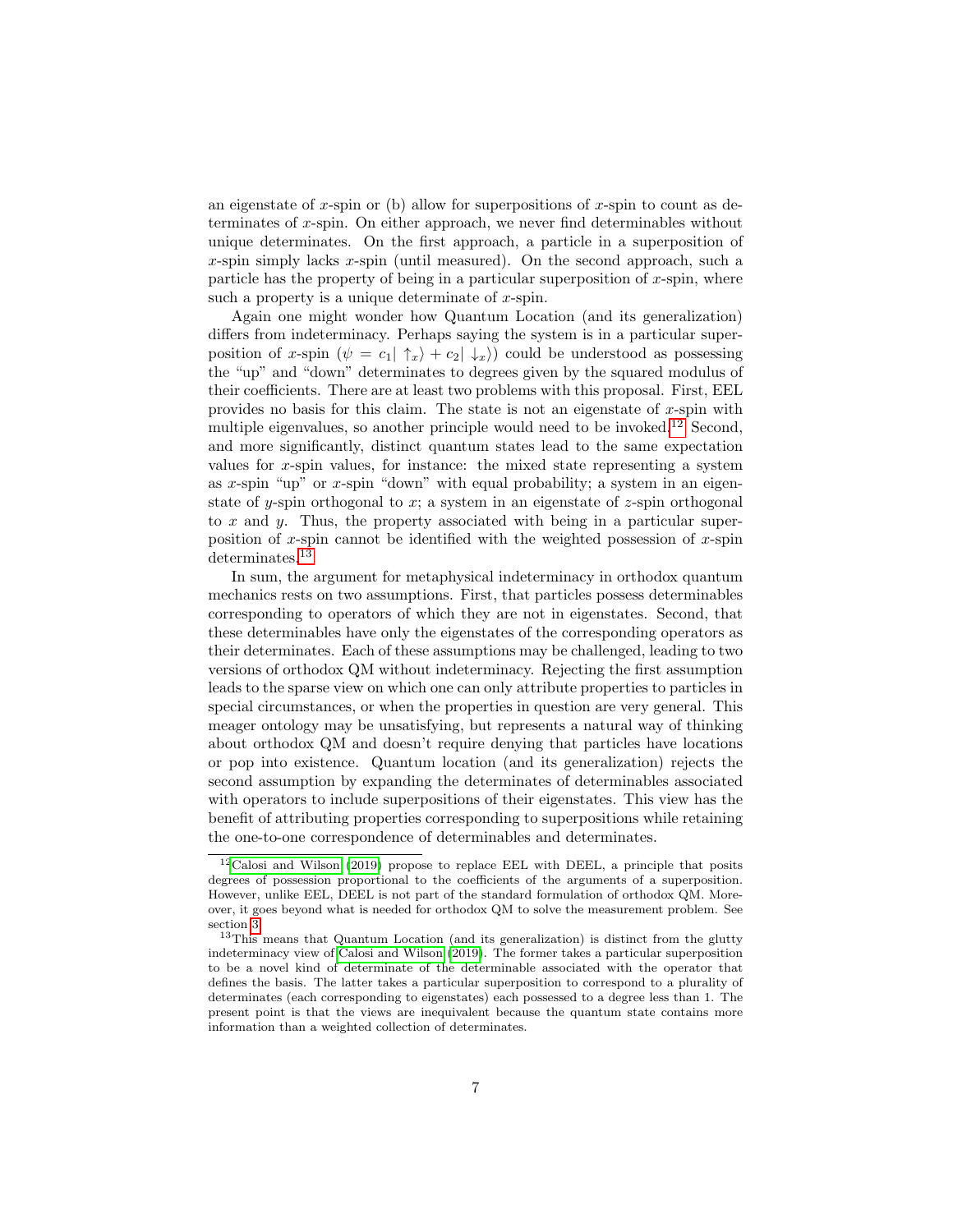an eigenstate of x-spin or (b) allow for superpositions of x-spin to count as determinates of x-spin. On either approach, we never find determinables without unique determinates. On the first approach, a particle in a superposition of x-spin simply lacks x-spin (until measured). On the second approach, such a particle has the property of being in a particular superposition of  $x$ -spin, where such a property is a unique determinate of  $x$ -spin.

Again one might wonder how Quantum Location (and its generalization) differs from indeterminacy. Perhaps saying the system is in a particular superposition of x-spin  $(\psi = c_1 | \uparrow_x \rangle + c_2 | \downarrow_x \rangle)$  could be understood as possessing the "up" and "down" determinates to degrees given by the squared modulus of their coefficients. There are at least two problems with this proposal. First, EEL provides no basis for this claim. The state is not an eigenstate of  $x$ -spin with multiple eigenvalues, so another principle would need to be invoked.<sup>[12](#page-6-0)</sup> Second, and more significantly, distinct quantum states lead to the same expectation values for  $x$ -spin values, for instance: the mixed state representing a system as x-spin "up" or x-spin "down" with equal probability; a system in an eigenstate of y-spin orthogonal to  $x$ ; a system in an eigenstate of  $z$ -spin orthogonal to x and y. Thus, the property associated with being in a particular superposition of x-spin cannot be identified with the weighted possession of  $x$ -spin determinates.<sup>[13](#page-6-1)</sup>

In sum, the argument for metaphysical indeterminacy in orthodox quantum mechanics rests on two assumptions. First, that particles possess determinables corresponding to operators of which they are not in eigenstates. Second, that these determinables have only the eigenstates of the corresponding operators as their determinates. Each of these assumptions may be challenged, leading to two versions of orthodox QM without indeterminacy. Rejecting the first assumption leads to the sparse view on which one can only attribute properties to particles in special circumstances, or when the properties in question are very general. This meager ontology may be unsatisfying, but represents a natural way of thinking about orthodox QM and doesn't require denying that particles have locations or pop into existence. Quantum location (and its generalization) rejects the second assumption by expanding the determinates of determinables associated with operators to include superpositions of their eigenstates. This view has the benefit of attributing properties corresponding to superpositions while retaining the one-to-one correspondence of determinables and determinates.

<span id="page-6-0"></span><sup>12</sup>[Calosi and Wilson](#page-15-5) [\(2019\)](#page-15-5) propose to replace EEL with DEEL, a principle that posits degrees of possession proportional to the coefficients of the arguments of a superposition. However, unlike EEL, DEEL is not part of the standard formulation of orthodox QM. Moreover, it goes beyond what is needed for orthodox QM to solve the measurement problem. See section [3.](#page-12-0)

<span id="page-6-1"></span><sup>&</sup>lt;sup>13</sup>This means that Quantum Location (and its generalization) is distinct from the glutty indeterminacy view of [Calosi and Wilson](#page-15-5) [\(2019\)](#page-15-5). The former takes a particular superposition to be a novel kind of determinate of the determinable associated with the operator that defines the basis. The latter takes a particular superposition to correspond to a plurality of determinates (each corresponding to eigenstates) each possessed to a degree less than 1. The present point is that the views are inequivalent because the quantum state contains more information than a weighted collection of determinates.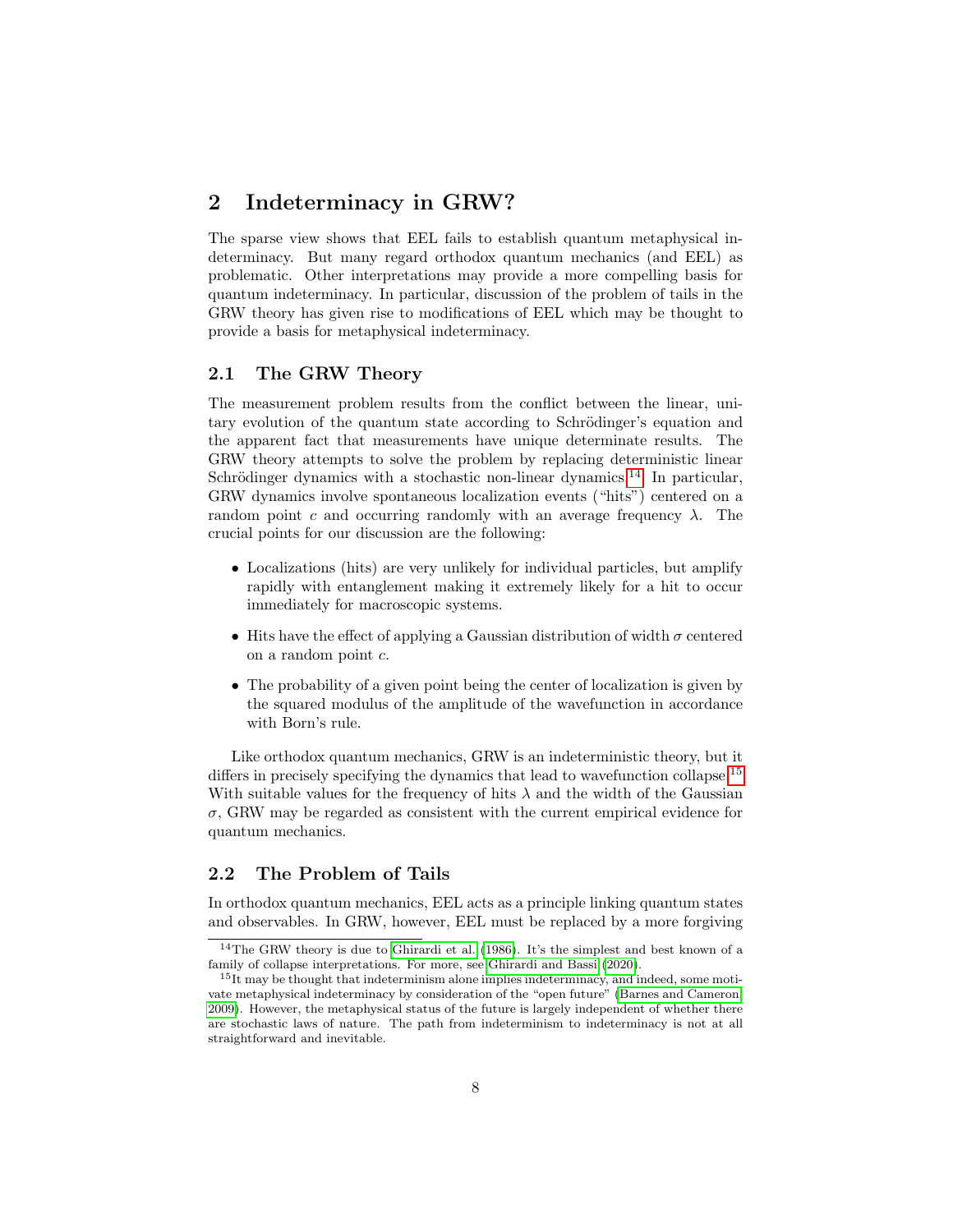# <span id="page-7-0"></span>2 Indeterminacy in GRW?

The sparse view shows that EEL fails to establish quantum metaphysical indeterminacy. But many regard orthodox quantum mechanics (and EEL) as problematic. Other interpretations may provide a more compelling basis for quantum indeterminacy. In particular, discussion of the problem of tails in the GRW theory has given rise to modifications of EEL which may be thought to provide a basis for metaphysical indeterminacy.

#### 2.1 The GRW Theory

The measurement problem results from the conflict between the linear, unitary evolution of the quantum state according to Schrödinger's equation and the apparent fact that measurements have unique determinate results. The GRW theory attempts to solve the problem by replacing deterministic linear Schrödinger dynamics with a stochastic non-linear dynamics.<sup>[14](#page-7-1)</sup> In particular, GRW dynamics involve spontaneous localization events ("hits") centered on a random point c and occurring randomly with an average frequency  $\lambda$ . The crucial points for our discussion are the following:

- Localizations (hits) are very unlikely for individual particles, but amplify rapidly with entanglement making it extremely likely for a hit to occur immediately for macroscopic systems.
- Hits have the effect of applying a Gaussian distribution of width  $\sigma$  centered on a random point c.
- The probability of a given point being the center of localization is given by the squared modulus of the amplitude of the wavefunction in accordance with Born's rule.

Like orthodox quantum mechanics, GRW is an indeterministic theory, but it differs in precisely specifying the dynamics that lead to wavefunction collapse.<sup>[15](#page-7-2)</sup> With suitable values for the frequency of hits  $\lambda$  and the width of the Gaussian  $\sigma$ , GRW may be regarded as consistent with the current empirical evidence for quantum mechanics.

### 2.2 The Problem of Tails

In orthodox quantum mechanics, EEL acts as a principle linking quantum states and observables. In GRW, however, EEL must be replaced by a more forgiving

<span id="page-7-1"></span><sup>&</sup>lt;sup>14</sup>The GRW theory is due to [Ghirardi et al.](#page-16-8) [\(1986\)](#page-16-8). It's the simplest and best known of a family of collapse interpretations. For more, see [Ghirardi and Bassi](#page-15-9) [\(2020\)](#page-15-9).

<span id="page-7-2"></span><sup>&</sup>lt;sup>15</sup>It may be thought that indeterminism alone implies indeterminacy, and indeed, some motivate metaphysical indeterminacy by consideration of the "open future" [\(Barnes and Cameron,](#page-15-10) [2009\)](#page-15-10). However, the metaphysical status of the future is largely independent of whether there are stochastic laws of nature. The path from indeterminism to indeterminacy is not at all straightforward and inevitable.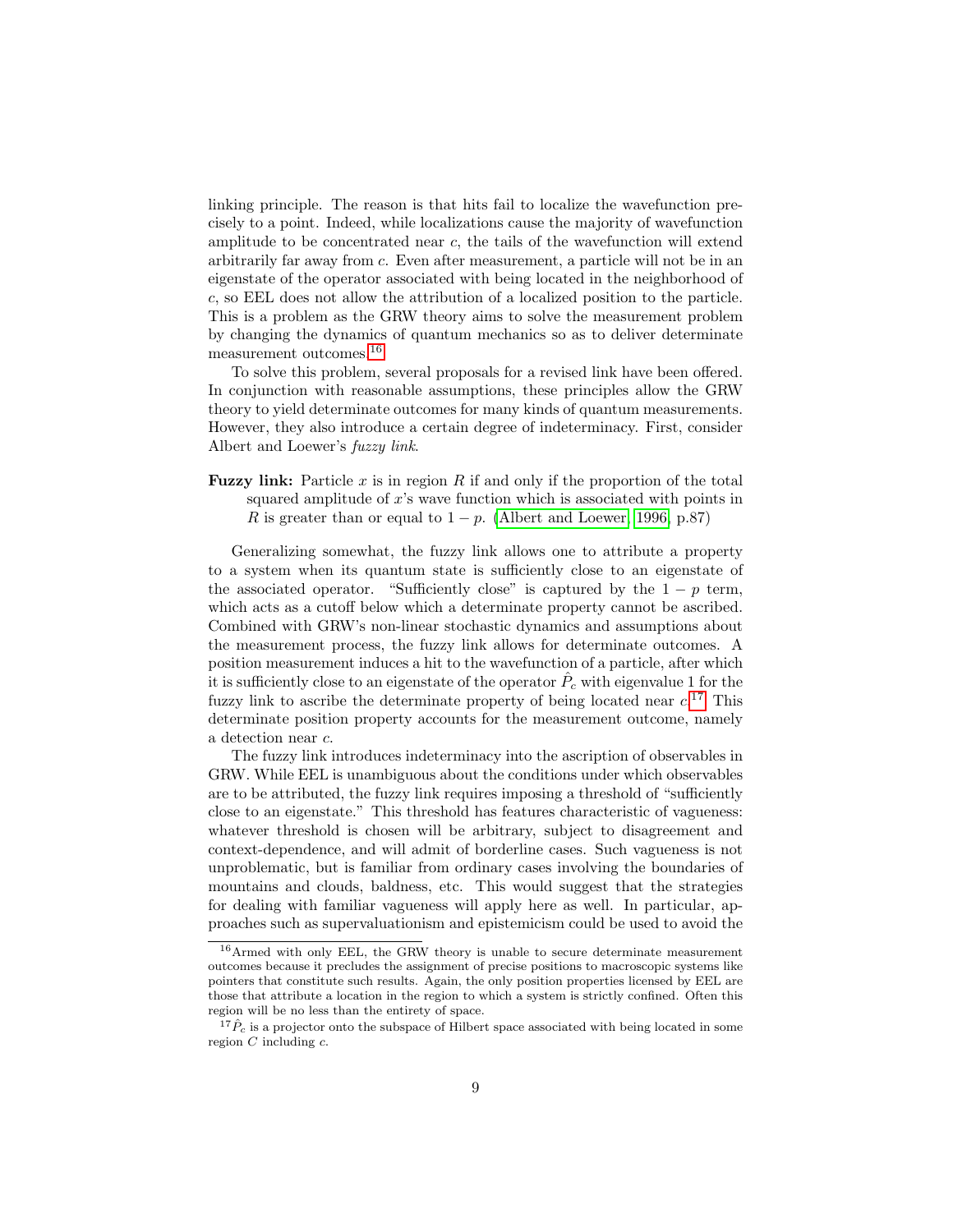linking principle. The reason is that hits fail to localize the wavefunction precisely to a point. Indeed, while localizations cause the majority of wavefunction amplitude to be concentrated near c, the tails of the wavefunction will extend arbitrarily far away from c. Even after measurement, a particle will not be in an eigenstate of the operator associated with being located in the neighborhood of c, so EEL does not allow the attribution of a localized position to the particle. This is a problem as the GRW theory aims to solve the measurement problem by changing the dynamics of quantum mechanics so as to deliver determinate measurement outcomes.[16](#page-8-0)

To solve this problem, several proposals for a revised link have been offered. In conjunction with reasonable assumptions, these principles allow the GRW theory to yield determinate outcomes for many kinds of quantum measurements. However, they also introduce a certain degree of indeterminacy. First, consider Albert and Loewer's fuzzy link.

**Fuzzy link:** Particle x is in region R if and only if the proportion of the total squared amplitude of  $x$ 's wave function which is associated with points in R is greater than or equal to  $1 - p$ . [\(Albert and Loewer, 1996,](#page-15-11) p.87)

Generalizing somewhat, the fuzzy link allows one to attribute a property to a system when its quantum state is sufficiently close to an eigenstate of the associated operator. "Sufficiently close" is captured by the  $1 - p$  term, which acts as a cutoff below which a determinate property cannot be ascribed. Combined with GRW's non-linear stochastic dynamics and assumptions about the measurement process, the fuzzy link allows for determinate outcomes. A position measurement induces a hit to the wavefunction of a particle, after which It is sufficiently close to an eigenstate of the operator  $\hat{P}_c$  with eigenvalue 1 for the fuzzy link to ascribe the determinate property of being located near  $c^{17}$  $c^{17}$  $c^{17}$ . This determinate position property accounts for the measurement outcome, namely a detection near c.

The fuzzy link introduces indeterminacy into the ascription of observables in GRW. While EEL is unambiguous about the conditions under which observables are to be attributed, the fuzzy link requires imposing a threshold of "sufficiently close to an eigenstate." This threshold has features characteristic of vagueness: whatever threshold is chosen will be arbitrary, subject to disagreement and context-dependence, and will admit of borderline cases. Such vagueness is not unproblematic, but is familiar from ordinary cases involving the boundaries of mountains and clouds, baldness, etc. This would suggest that the strategies for dealing with familiar vagueness will apply here as well. In particular, approaches such as supervaluationism and epistemicism could be used to avoid the

<span id="page-8-0"></span><sup>&</sup>lt;sup>16</sup>Armed with only EEL, the GRW theory is unable to secure determinate measurement outcomes because it precludes the assignment of precise positions to macroscopic systems like pointers that constitute such results. Again, the only position properties licensed by EEL are those that attribute a location in the region to which a system is strictly confined. Often this region will be no less than the entirety of space.

<span id="page-8-1"></span> $^{17}\hat{P}_c$  is a projector onto the subspace of Hilbert space associated with being located in some region  $C$  including  $c$ .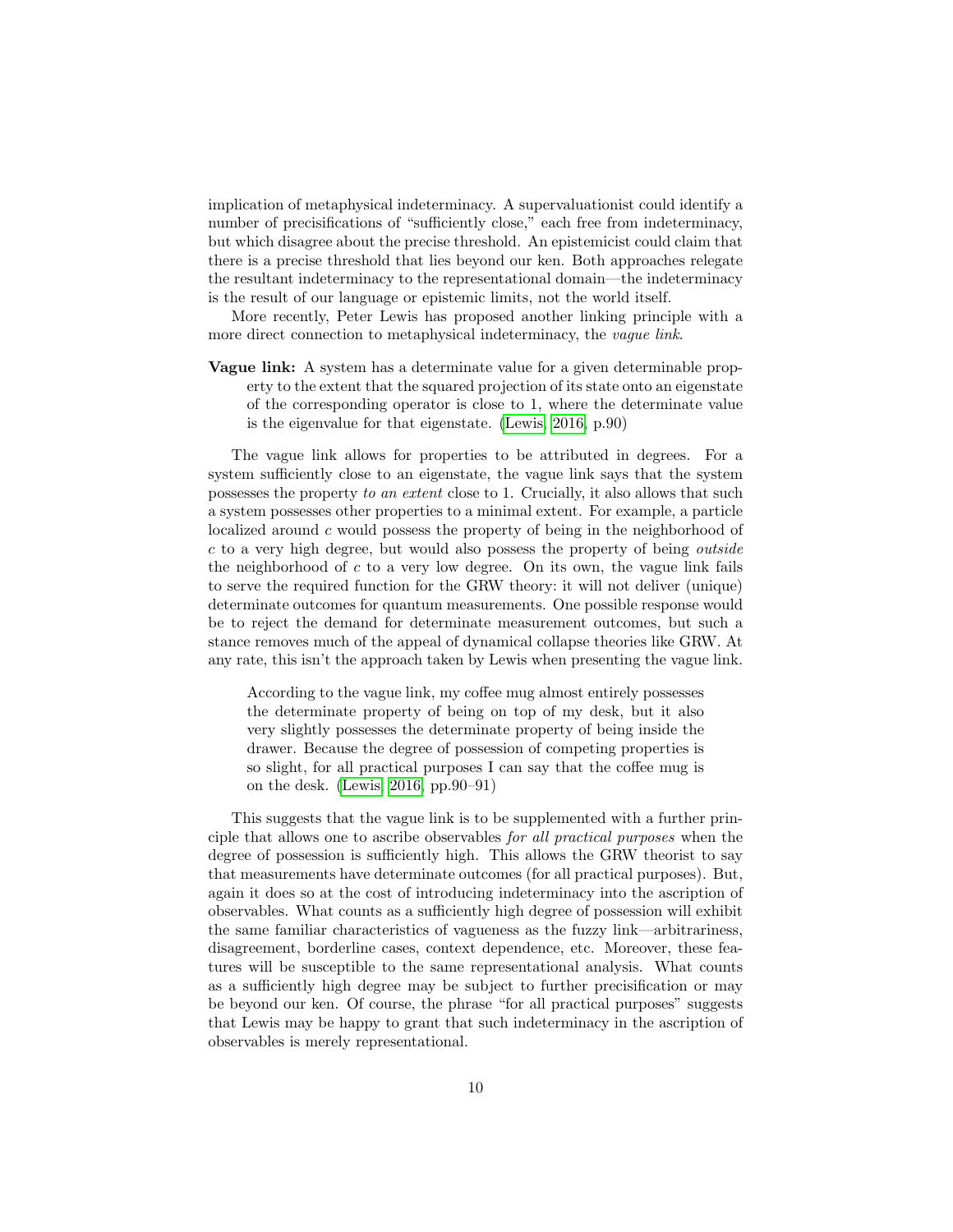implication of metaphysical indeterminacy. A supervaluationist could identify a number of precisifications of "sufficiently close," each free from indeterminacy, but which disagree about the precise threshold. An epistemicist could claim that there is a precise threshold that lies beyond our ken. Both approaches relegate the resultant indeterminacy to the representational domain—the indeterminacy is the result of our language or epistemic limits, not the world itself.

More recently, Peter Lewis has proposed another linking principle with a more direct connection to metaphysical indeterminacy, the *vague link*.

Vague link: A system has a determinate value for a given determinable property to the extent that the squared projection of its state onto an eigenstate of the corresponding operator is close to 1, where the determinate value is the eigenvalue for that eigenstate. [\(Lewis, 2016,](#page-16-4) p.90)

The vague link allows for properties to be attributed in degrees. For a system sufficiently close to an eigenstate, the vague link says that the system possesses the property to an extent close to 1. Crucially, it also allows that such a system possesses other properties to a minimal extent. For example, a particle localized around c would possess the property of being in the neighborhood of c to a very high degree, but would also possess the property of being outside the neighborhood of  $c$  to a very low degree. On its own, the vague link fails to serve the required function for the GRW theory: it will not deliver (unique) determinate outcomes for quantum measurements. One possible response would be to reject the demand for determinate measurement outcomes, but such a stance removes much of the appeal of dynamical collapse theories like GRW. At any rate, this isn't the approach taken by Lewis when presenting the vague link.

According to the vague link, my coffee mug almost entirely possesses the determinate property of being on top of my desk, but it also very slightly possesses the determinate property of being inside the drawer. Because the degree of possession of competing properties is so slight, for all practical purposes I can say that the coffee mug is on the desk. [\(Lewis, 2016,](#page-16-4) pp.90–91)

This suggests that the vague link is to be supplemented with a further principle that allows one to ascribe observables for all practical purposes when the degree of possession is sufficiently high. This allows the GRW theorist to say that measurements have determinate outcomes (for all practical purposes). But, again it does so at the cost of introducing indeterminacy into the ascription of observables. What counts as a sufficiently high degree of possession will exhibit the same familiar characteristics of vagueness as the fuzzy link—arbitrariness, disagreement, borderline cases, context dependence, etc. Moreover, these features will be susceptible to the same representational analysis. What counts as a sufficiently high degree may be subject to further precisification or may be beyond our ken. Of course, the phrase "for all practical purposes" suggests that Lewis may be happy to grant that such indeterminacy in the ascription of observables is merely representational.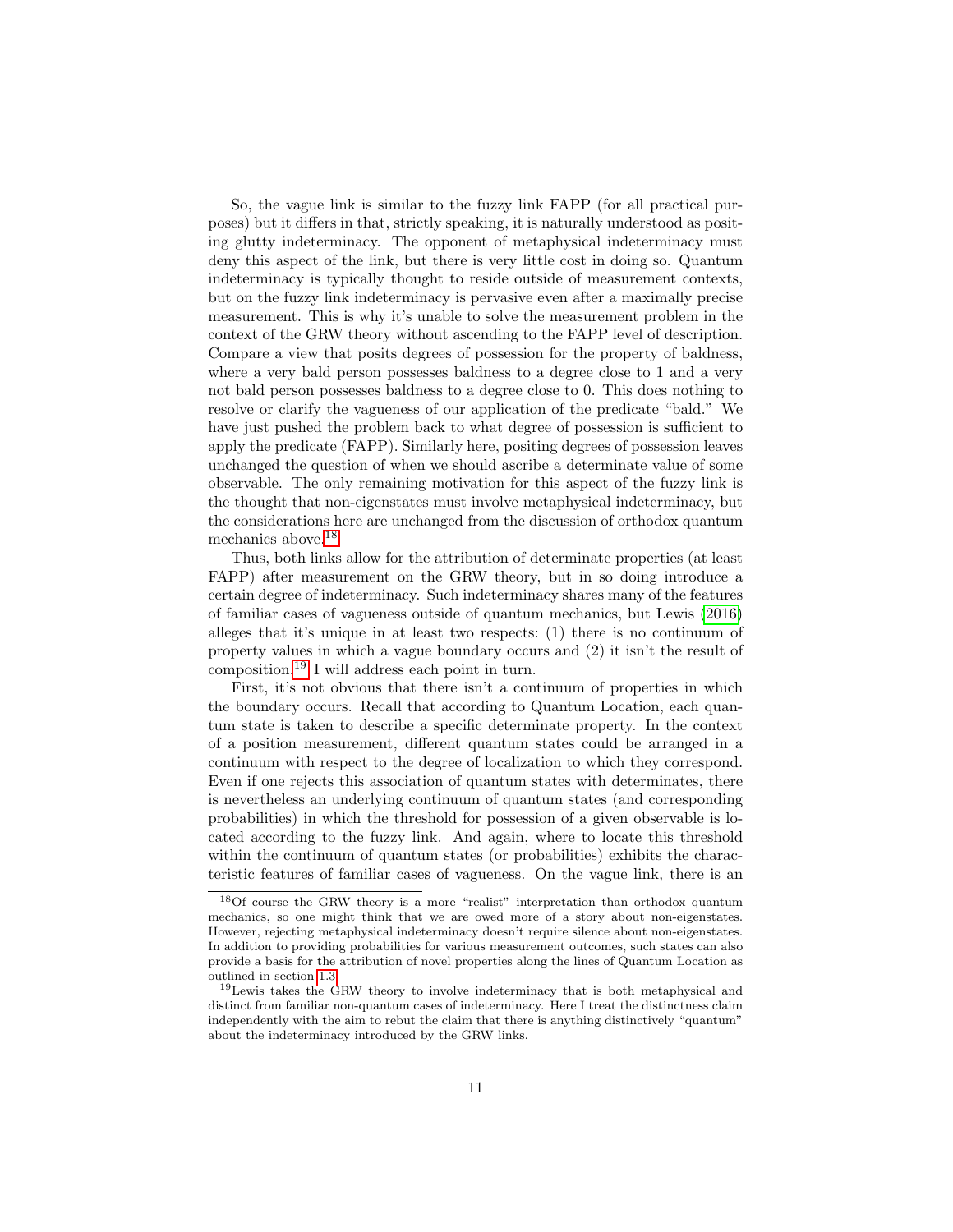So, the vague link is similar to the fuzzy link FAPP (for all practical purposes) but it differs in that, strictly speaking, it is naturally understood as positing glutty indeterminacy. The opponent of metaphysical indeterminacy must deny this aspect of the link, but there is very little cost in doing so. Quantum indeterminacy is typically thought to reside outside of measurement contexts, but on the fuzzy link indeterminacy is pervasive even after a maximally precise measurement. This is why it's unable to solve the measurement problem in the context of the GRW theory without ascending to the FAPP level of description. Compare a view that posits degrees of possession for the property of baldness, where a very bald person possesses baldness to a degree close to 1 and a very not bald person possesses baldness to a degree close to 0. This does nothing to resolve or clarify the vagueness of our application of the predicate "bald." We have just pushed the problem back to what degree of possession is sufficient to apply the predicate (FAPP). Similarly here, positing degrees of possession leaves unchanged the question of when we should ascribe a determinate value of some observable. The only remaining motivation for this aspect of the fuzzy link is the thought that non-eigenstates must involve metaphysical indeterminacy, but the considerations here are unchanged from the discussion of orthodox quantum mechanics above.[18](#page-10-0)

Thus, both links allow for the attribution of determinate properties (at least FAPP) after measurement on the GRW theory, but in so doing introduce a certain degree of indeterminacy. Such indeterminacy shares many of the features of familiar cases of vagueness outside of quantum mechanics, but Lewis [\(2016\)](#page-16-4) alleges that it's unique in at least two respects: (1) there is no continuum of property values in which a vague boundary occurs and (2) it isn't the result of composition.[19](#page-10-1) I will address each point in turn.

First, it's not obvious that there isn't a continuum of properties in which the boundary occurs. Recall that according to Quantum Location, each quantum state is taken to describe a specific determinate property. In the context of a position measurement, different quantum states could be arranged in a continuum with respect to the degree of localization to which they correspond. Even if one rejects this association of quantum states with determinates, there is nevertheless an underlying continuum of quantum states (and corresponding probabilities) in which the threshold for possession of a given observable is located according to the fuzzy link. And again, where to locate this threshold within the continuum of quantum states (or probabilities) exhibits the characteristic features of familiar cases of vagueness. On the vague link, there is an

<span id="page-10-0"></span><sup>18</sup>Of course the GRW theory is a more "realist" interpretation than orthodox quantum mechanics, so one might think that we are owed more of a story about non-eigenstates. However, rejecting metaphysical indeterminacy doesn't require silence about non-eigenstates. In addition to providing probabilities for various measurement outcomes, such states can also provide a basis for the attribution of novel properties along the lines of Quantum Location as outlined in section [1.3.](#page-2-2)

<span id="page-10-1"></span><sup>19</sup>Lewis takes the GRW theory to involve indeterminacy that is both metaphysical and distinct from familiar non-quantum cases of indeterminacy. Here I treat the distinctness claim independently with the aim to rebut the claim that there is anything distinctively "quantum" about the indeterminacy introduced by the GRW links.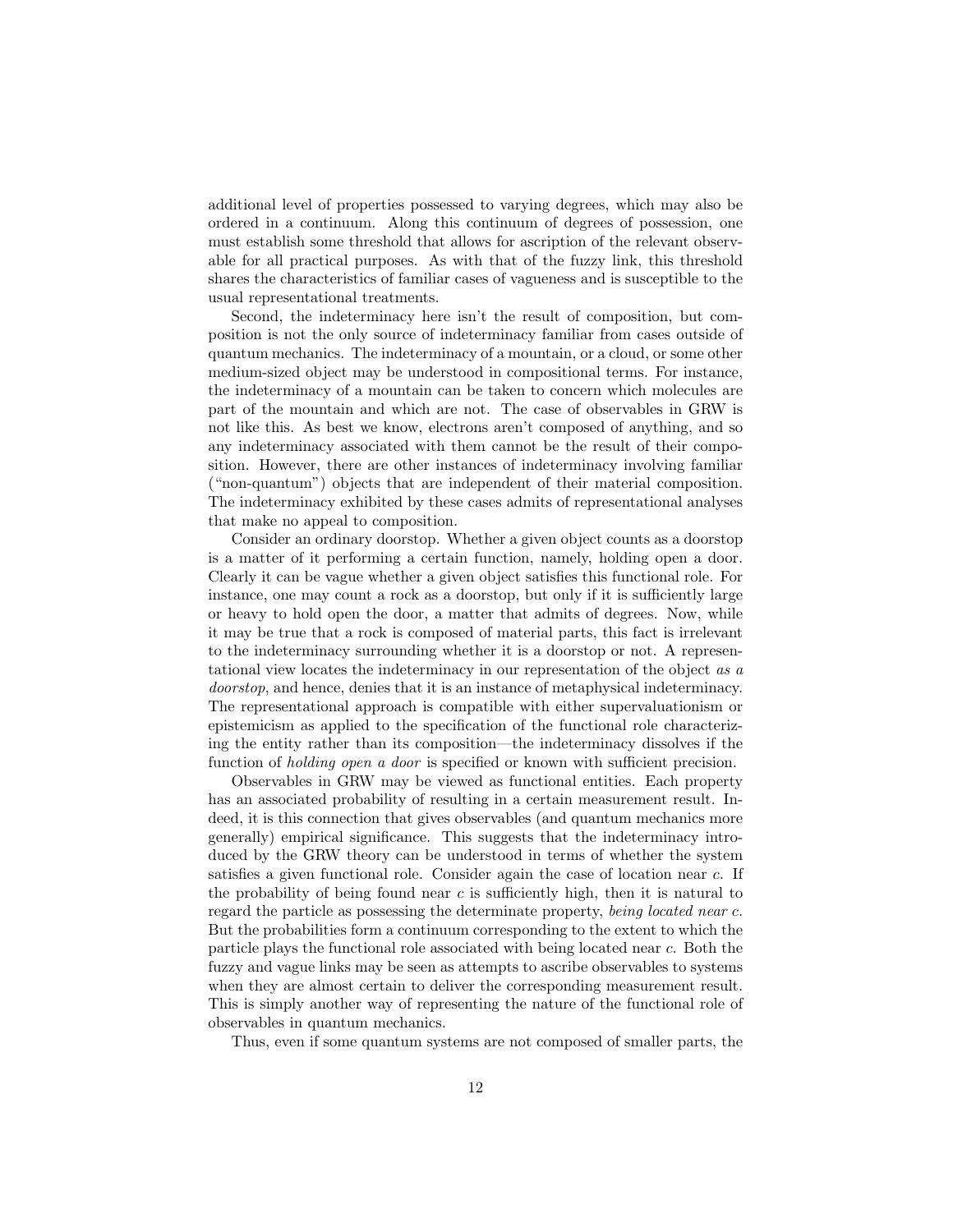additional level of properties possessed to varying degrees, which may also be ordered in a continuum. Along this continuum of degrees of possession, one must establish some threshold that allows for ascription of the relevant observable for all practical purposes. As with that of the fuzzy link, this threshold shares the characteristics of familiar cases of vagueness and is susceptible to the usual representational treatments.

Second, the indeterminacy here isn't the result of composition, but composition is not the only source of indeterminacy familiar from cases outside of quantum mechanics. The indeterminacy of a mountain, or a cloud, or some other medium-sized object may be understood in compositional terms. For instance, the indeterminacy of a mountain can be taken to concern which molecules are part of the mountain and which are not. The case of observables in GRW is not like this. As best we know, electrons aren't composed of anything, and so any indeterminacy associated with them cannot be the result of their composition. However, there are other instances of indeterminacy involving familiar ("non-quantum") objects that are independent of their material composition. The indeterminacy exhibited by these cases admits of representational analyses that make no appeal to composition.

Consider an ordinary doorstop. Whether a given object counts as a doorstop is a matter of it performing a certain function, namely, holding open a door. Clearly it can be vague whether a given object satisfies this functional role. For instance, one may count a rock as a doorstop, but only if it is sufficiently large or heavy to hold open the door, a matter that admits of degrees. Now, while it may be true that a rock is composed of material parts, this fact is irrelevant to the indeterminacy surrounding whether it is a doorstop or not. A representational view locates the indeterminacy in our representation of the object as a doorstop, and hence, denies that it is an instance of metaphysical indeterminacy. The representational approach is compatible with either supervaluationism or epistemicism as applied to the specification of the functional role characterizing the entity rather than its composition—the indeterminacy dissolves if the function of *holding open a door* is specified or known with sufficient precision.

Observables in GRW may be viewed as functional entities. Each property has an associated probability of resulting in a certain measurement result. Indeed, it is this connection that gives observables (and quantum mechanics more generally) empirical significance. This suggests that the indeterminacy introduced by the GRW theory can be understood in terms of whether the system satisfies a given functional role. Consider again the case of location near c. If the probability of being found near  $c$  is sufficiently high, then it is natural to regard the particle as possessing the determinate property, being located near c. But the probabilities form a continuum corresponding to the extent to which the particle plays the functional role associated with being located near  $c$ . Both the fuzzy and vague links may be seen as attempts to ascribe observables to systems when they are almost certain to deliver the corresponding measurement result. This is simply another way of representing the nature of the functional role of observables in quantum mechanics.

Thus, even if some quantum systems are not composed of smaller parts, the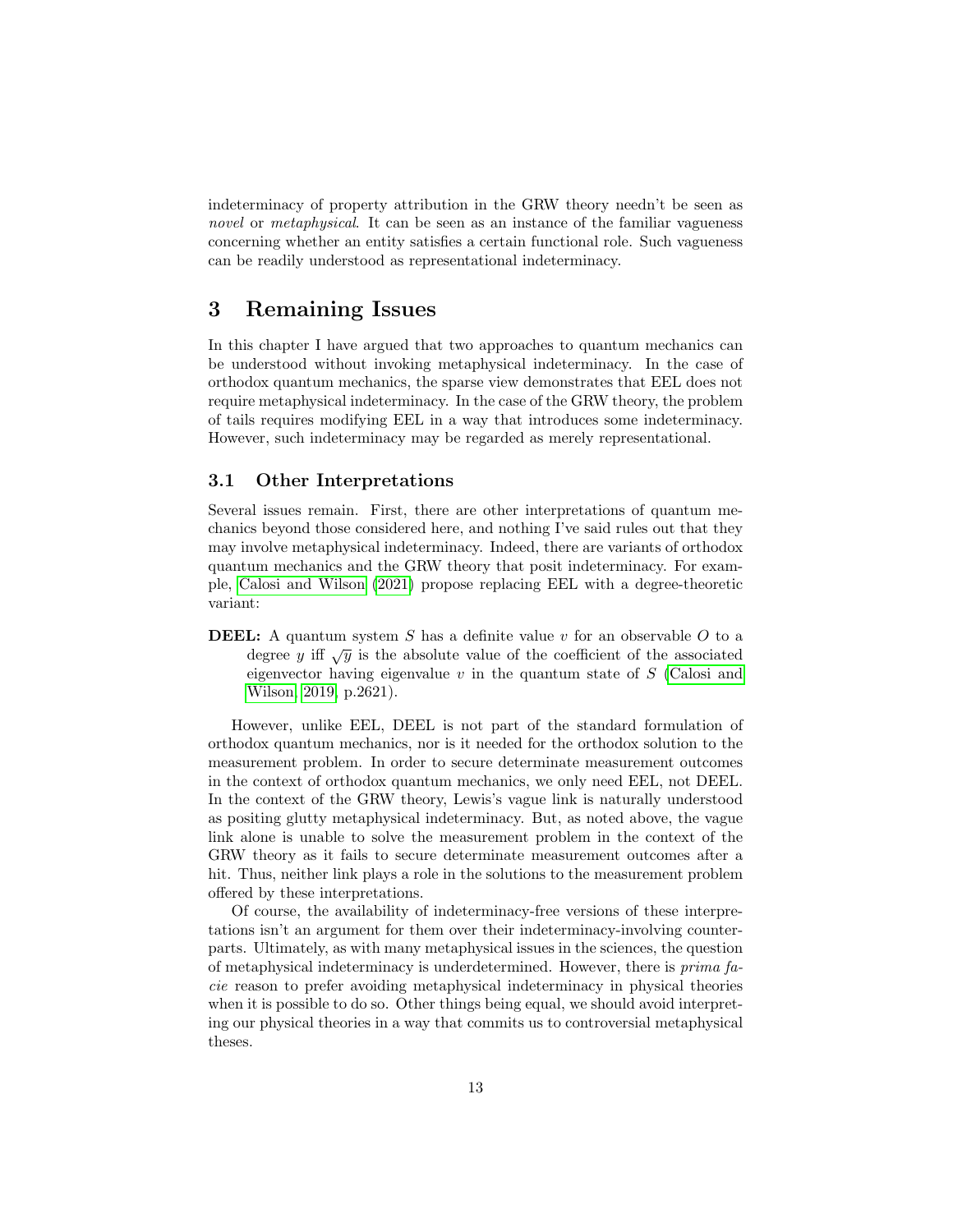indeterminacy of property attribution in the GRW theory needn't be seen as novel or *metaphysical*. It can be seen as an instance of the familiar vagueness concerning whether an entity satisfies a certain functional role. Such vagueness can be readily understood as representational indeterminacy.

# <span id="page-12-0"></span>3 Remaining Issues

In this chapter I have argued that two approaches to quantum mechanics can be understood without invoking metaphysical indeterminacy. In the case of orthodox quantum mechanics, the sparse view demonstrates that EEL does not require metaphysical indeterminacy. In the case of the GRW theory, the problem of tails requires modifying EEL in a way that introduces some indeterminacy. However, such indeterminacy may be regarded as merely representational.

### 3.1 Other Interpretations

Several issues remain. First, there are other interpretations of quantum mechanics beyond those considered here, and nothing I've said rules out that they may involve metaphysical indeterminacy. Indeed, there are variants of orthodox quantum mechanics and the GRW theory that posit indeterminacy. For example, [Calosi and Wilson](#page-15-6) [\(2021\)](#page-15-6) propose replacing EEL with a degree-theoretic variant:

**DEEL:** A quantum system S has a definite value v for an observable O to a degree y iff  $\sqrt{y}$  is the absolute value of the coefficient of the associated eigenvector having eigenvalue  $v$  in the quantum state of  $S$  [\(Calosi and](#page-15-5) [Wilson, 2019,](#page-15-5) p.2621).

However, unlike EEL, DEEL is not part of the standard formulation of orthodox quantum mechanics, nor is it needed for the orthodox solution to the measurement problem. In order to secure determinate measurement outcomes in the context of orthodox quantum mechanics, we only need EEL, not DEEL. In the context of the GRW theory, Lewis's vague link is naturally understood as positing glutty metaphysical indeterminacy. But, as noted above, the vague link alone is unable to solve the measurement problem in the context of the GRW theory as it fails to secure determinate measurement outcomes after a hit. Thus, neither link plays a role in the solutions to the measurement problem offered by these interpretations.

Of course, the availability of indeterminacy-free versions of these interpretations isn't an argument for them over their indeterminacy-involving counterparts. Ultimately, as with many metaphysical issues in the sciences, the question of metaphysical indeterminacy is underdetermined. However, there is prima facie reason to prefer avoiding metaphysical indeterminacy in physical theories when it is possible to do so. Other things being equal, we should avoid interpreting our physical theories in a way that commits us to controversial metaphysical theses.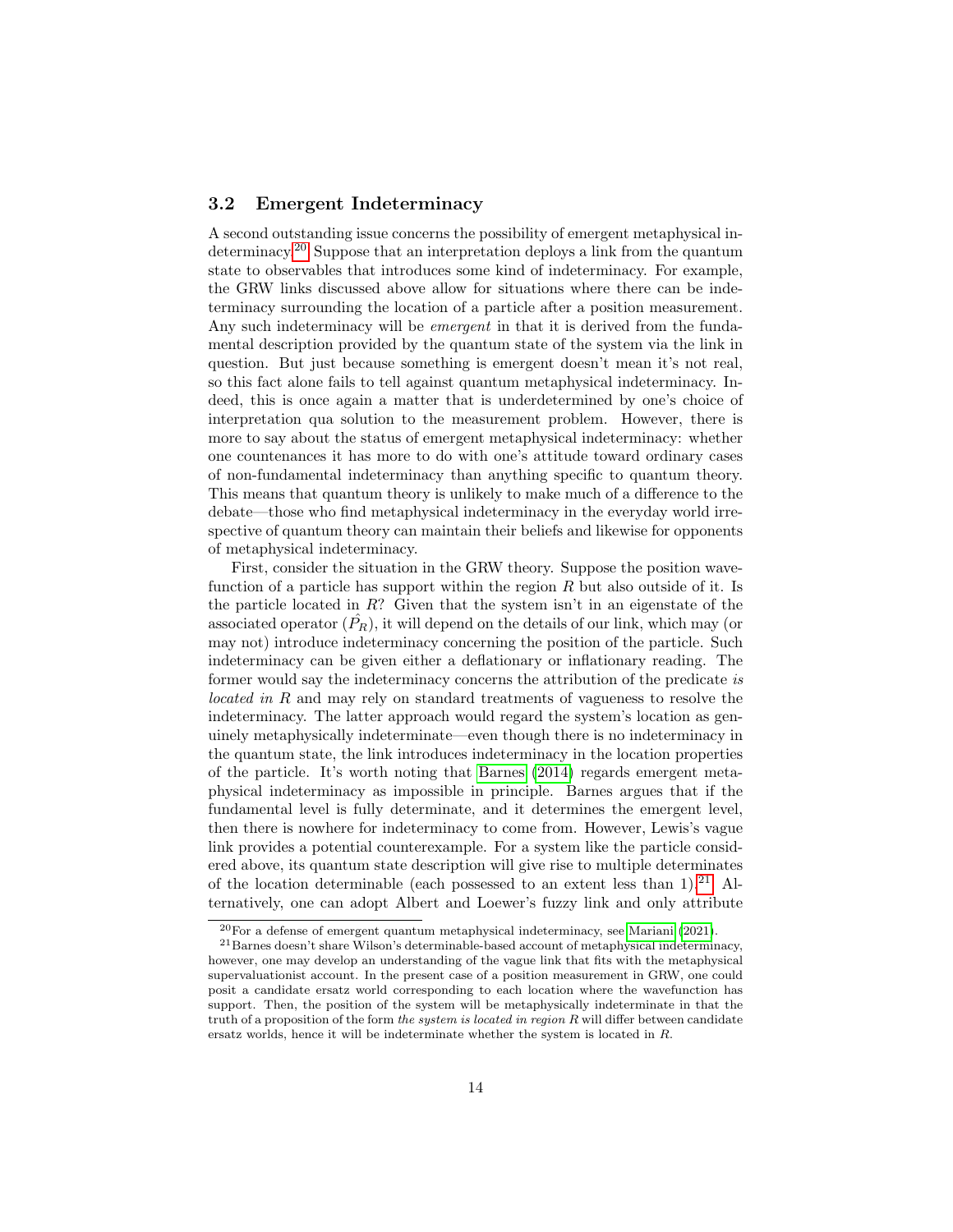#### 3.2 Emergent Indeterminacy

A second outstanding issue concerns the possibility of emergent metaphysical indeterminacy.[20](#page-13-0) Suppose that an interpretation deploys a link from the quantum state to observables that introduces some kind of indeterminacy. For example, the GRW links discussed above allow for situations where there can be indeterminacy surrounding the location of a particle after a position measurement. Any such indeterminacy will be *emergent* in that it is derived from the fundamental description provided by the quantum state of the system via the link in question. But just because something is emergent doesn't mean it's not real, so this fact alone fails to tell against quantum metaphysical indeterminacy. Indeed, this is once again a matter that is underdetermined by one's choice of interpretation qua solution to the measurement problem. However, there is more to say about the status of emergent metaphysical indeterminacy: whether one countenances it has more to do with one's attitude toward ordinary cases of non-fundamental indeterminacy than anything specific to quantum theory. This means that quantum theory is unlikely to make much of a difference to the debate—those who find metaphysical indeterminacy in the everyday world irrespective of quantum theory can maintain their beliefs and likewise for opponents of metaphysical indeterminacy.

First, consider the situation in the GRW theory. Suppose the position wavefunction of a particle has support within the region  $R$  but also outside of it. Is the particle located in  $R$ ? Given that the system isn't in an eigenstate of the associated operator  $(P_R)$ , it will depend on the details of our link, which may (or may not) introduce indeterminacy concerning the position of the particle. Such indeterminacy can be given either a deflationary or inflationary reading. The former would say the indeterminacy concerns the attribution of the predicate is located in R and may rely on standard treatments of vagueness to resolve the indeterminacy. The latter approach would regard the system's location as genuinely metaphysically indeterminate—even though there is no indeterminacy in the quantum state, the link introduces indeterminacy in the location properties of the particle. It's worth noting that [Barnes](#page-15-12) [\(2014\)](#page-15-12) regards emergent metaphysical indeterminacy as impossible in principle. Barnes argues that if the fundamental level is fully determinate, and it determines the emergent level, then there is nowhere for indeterminacy to come from. However, Lewis's vague link provides a potential counterexample. For a system like the particle considered above, its quantum state description will give rise to multiple determinates of the location determinable (each possessed to an extent less than  $1$ ).<sup>[21](#page-13-1)</sup> Alternatively, one can adopt Albert and Loewer's fuzzy link and only attribute

<span id="page-13-1"></span><span id="page-13-0"></span> $^{20}$ For a defense of emergent quantum metaphysical indeterminacy, see [Mariani](#page-16-9) [\(2021\)](#page-16-9).

 $^{21}$ Barnes doesn't share Wilson's determinable-based account of metaphysical indeterminacy, however, one may develop an understanding of the vague link that fits with the metaphysical supervaluationist account. In the present case of a position measurement in GRW, one could posit a candidate ersatz world corresponding to each location where the wavefunction has support. Then, the position of the system will be metaphysically indeterminate in that the truth of a proposition of the form the system is located in region R will differ between candidate ersatz worlds, hence it will be indeterminate whether the system is located in R.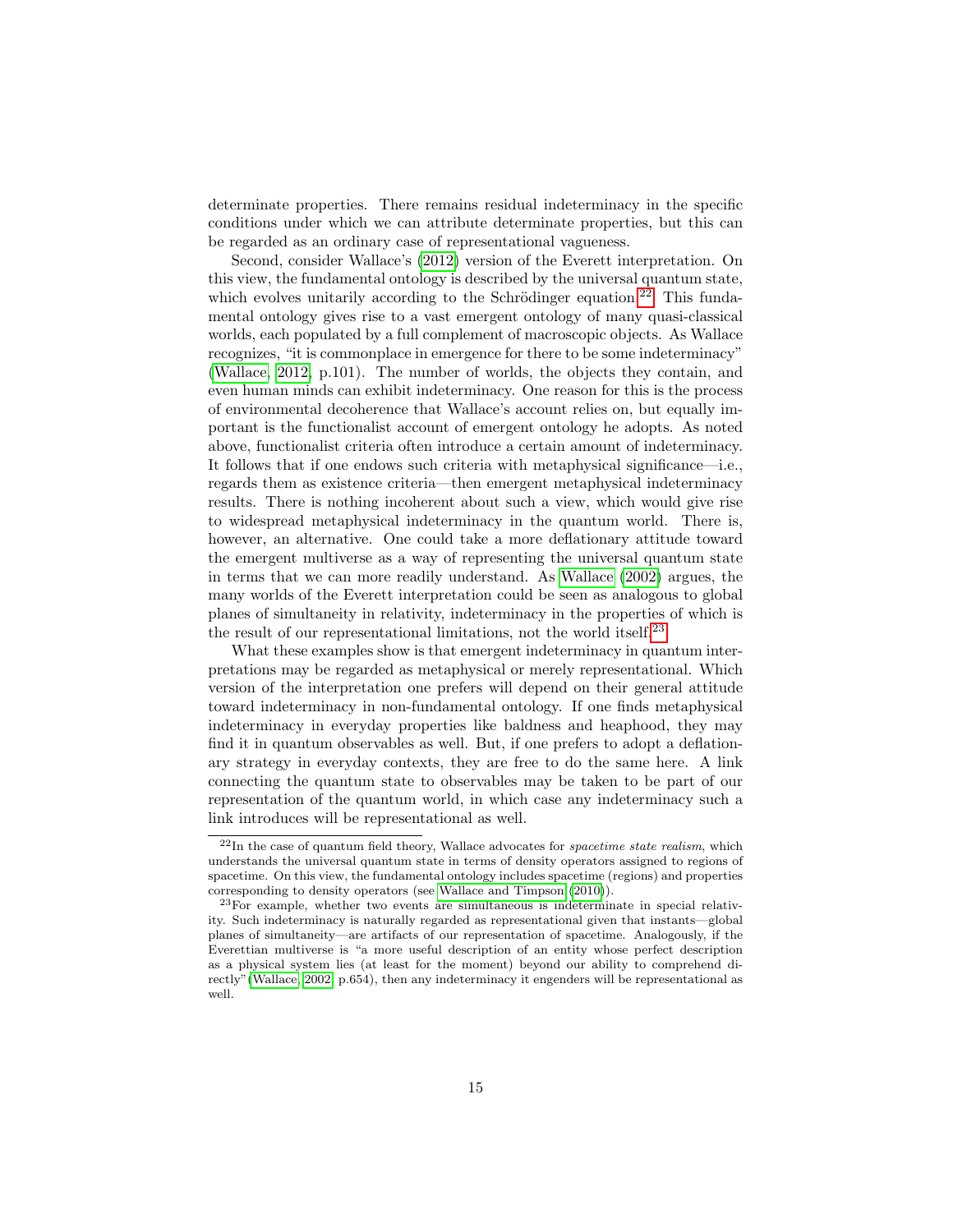determinate properties. There remains residual indeterminacy in the specific conditions under which we can attribute determinate properties, but this can be regarded as an ordinary case of representational vagueness.

Second, consider Wallace's [\(2012\)](#page-16-10) version of the Everett interpretation. On this view, the fundamental ontology is described by the universal quantum state, which evolves unitarily according to the Schrödinger equation.<sup>[22](#page-14-0)</sup> This fundamental ontology gives rise to a vast emergent ontology of many quasi-classical worlds, each populated by a full complement of macroscopic objects. As Wallace recognizes, "it is commonplace in emergence for there to be some indeterminacy" [\(Wallace, 2012,](#page-16-10) p.101). The number of worlds, the objects they contain, and even human minds can exhibit indeterminacy. One reason for this is the process of environmental decoherence that Wallace's account relies on, but equally important is the functionalist account of emergent ontology he adopts. As noted above, functionalist criteria often introduce a certain amount of indeterminacy. It follows that if one endows such criteria with metaphysical significance—i.e., regards them as existence criteria—then emergent metaphysical indeterminacy results. There is nothing incoherent about such a view, which would give rise to widespread metaphysical indeterminacy in the quantum world. There is, however, an alternative. One could take a more deflationary attitude toward the emergent multiverse as a way of representing the universal quantum state in terms that we can more readily understand. As [Wallace](#page-16-11) [\(2002\)](#page-16-11) argues, the many worlds of the Everett interpretation could be seen as analogous to global planes of simultaneity in relativity, indeterminacy in the properties of which is the result of our representational limitations, not the world itself.<sup>[23](#page-14-1)</sup>

What these examples show is that emergent indeterminacy in quantum interpretations may be regarded as metaphysical or merely representational. Which version of the interpretation one prefers will depend on their general attitude toward indeterminacy in non-fundamental ontology. If one finds metaphysical indeterminacy in everyday properties like baldness and heaphood, they may find it in quantum observables as well. But, if one prefers to adopt a deflationary strategy in everyday contexts, they are free to do the same here. A link connecting the quantum state to observables may be taken to be part of our representation of the quantum world, in which case any indeterminacy such a link introduces will be representational as well.

<span id="page-14-0"></span> $^{22}$ In the case of quantum field theory, Wallace advocates for *spacetime state realism*, which understands the universal quantum state in terms of density operators assigned to regions of spacetime. On this view, the fundamental ontology includes spacetime (regions) and properties corresponding to density operators (see [Wallace and Timpson](#page-16-12) [\(2010\)](#page-16-12)).

<span id="page-14-1"></span><sup>&</sup>lt;sup>23</sup>For example, whether two events are simultaneous is indeterminate in special relativity. Such indeterminacy is naturally regarded as representational given that instants—global planes of simultaneity—are artifacts of our representation of spacetime. Analogously, if the Everettian multiverse is "a more useful description of an entity whose perfect description as a physical system lies (at least for the moment) beyond our ability to comprehend directly"[\(Wallace, 2002,](#page-16-11) p.654), then any indeterminacy it engenders will be representational as well.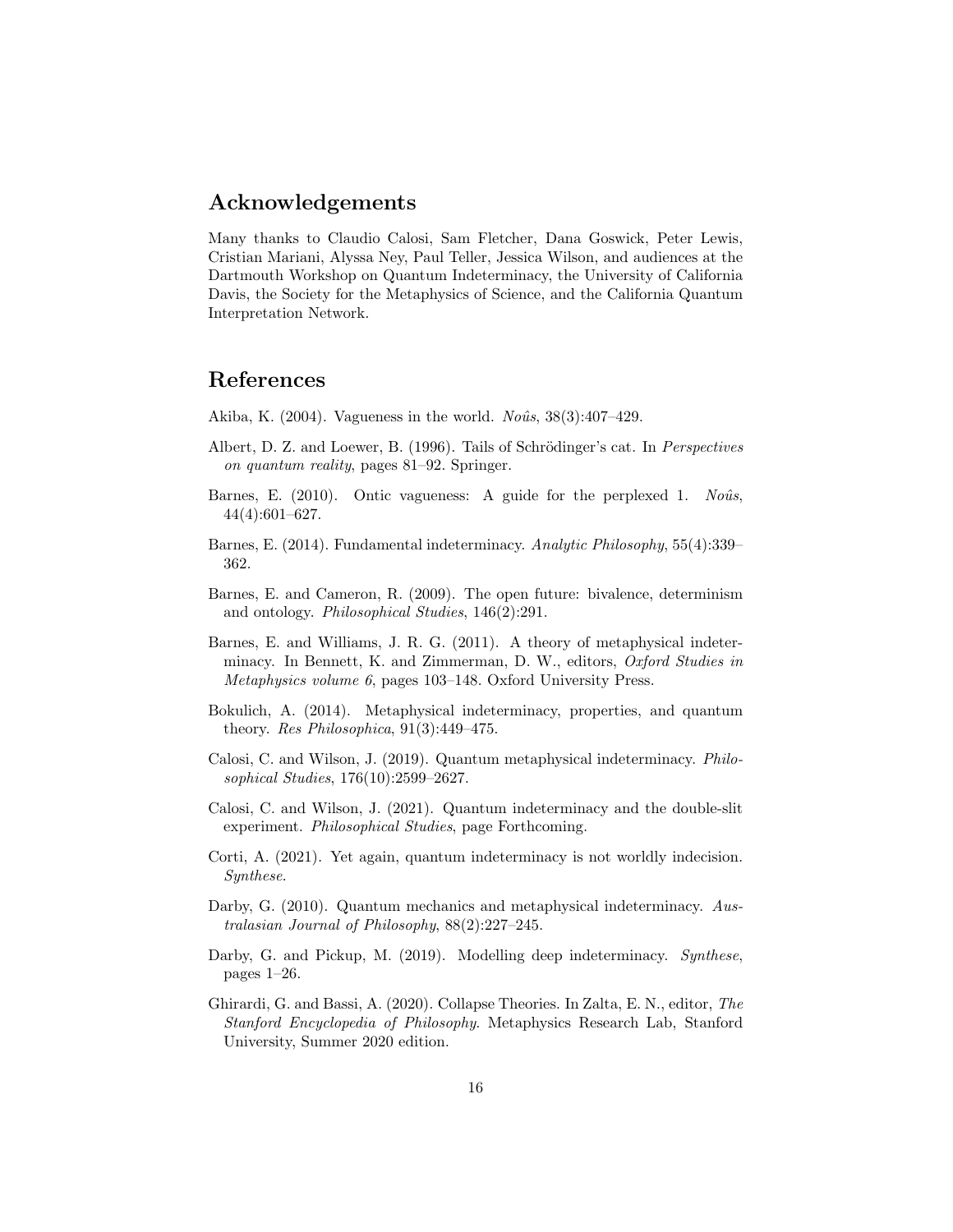## Acknowledgements

Many thanks to Claudio Calosi, Sam Fletcher, Dana Goswick, Peter Lewis, Cristian Mariani, Alyssa Ney, Paul Teller, Jessica Wilson, and audiences at the Dartmouth Workshop on Quantum Indeterminacy, the University of California Davis, the Society for the Metaphysics of Science, and the California Quantum Interpretation Network.

# References

- <span id="page-15-1"></span>Akiba, K. (2004). Vagueness in the world. *Noûs*,  $38(3):407-429$ .
- <span id="page-15-11"></span>Albert, D. Z. and Loewer, B. (1996). Tails of Schrödinger's cat. In *Perspectives* on quantum reality, pages 81–92. Springer.
- <span id="page-15-2"></span>Barnes, E.  $(2010)$ . Ontic vagueness: A guide for the perplexed 1. Noûs, 44(4):601–627.
- <span id="page-15-12"></span>Barnes, E. (2014). Fundamental indeterminacy. Analytic Philosophy, 55(4):339– 362.
- <span id="page-15-10"></span>Barnes, E. and Cameron, R. (2009). The open future: bivalence, determinism and ontology. Philosophical Studies, 146(2):291.
- <span id="page-15-0"></span>Barnes, E. and Williams, J. R. G. (2011). A theory of metaphysical indeterminacy. In Bennett, K. and Zimmerman, D. W., editors, Oxford Studies in Metaphysics volume 6, pages 103–148. Oxford University Press.
- <span id="page-15-4"></span>Bokulich, A. (2014). Metaphysical indeterminacy, properties, and quantum theory. Res Philosophica, 91(3):449–475.
- <span id="page-15-5"></span>Calosi, C. and Wilson, J. (2019). Quantum metaphysical indeterminacy. Philosophical Studies, 176(10):2599–2627.
- <span id="page-15-6"></span>Calosi, C. and Wilson, J. (2021). Quantum indeterminacy and the double-slit experiment. Philosophical Studies, page Forthcoming.
- <span id="page-15-8"></span>Corti, A. (2021). Yet again, quantum indeterminacy is not worldly indecision. Synthese.
- <span id="page-15-3"></span>Darby, G. (2010). Quantum mechanics and metaphysical indeterminacy. Australasian Journal of Philosophy, 88(2):227–245.
- <span id="page-15-7"></span>Darby, G. and Pickup, M. (2019). Modelling deep indeterminacy. Synthese, pages 1–26.
- <span id="page-15-9"></span>Ghirardi, G. and Bassi, A. (2020). Collapse Theories. In Zalta, E. N., editor, The Stanford Encyclopedia of Philosophy. Metaphysics Research Lab, Stanford University, Summer 2020 edition.